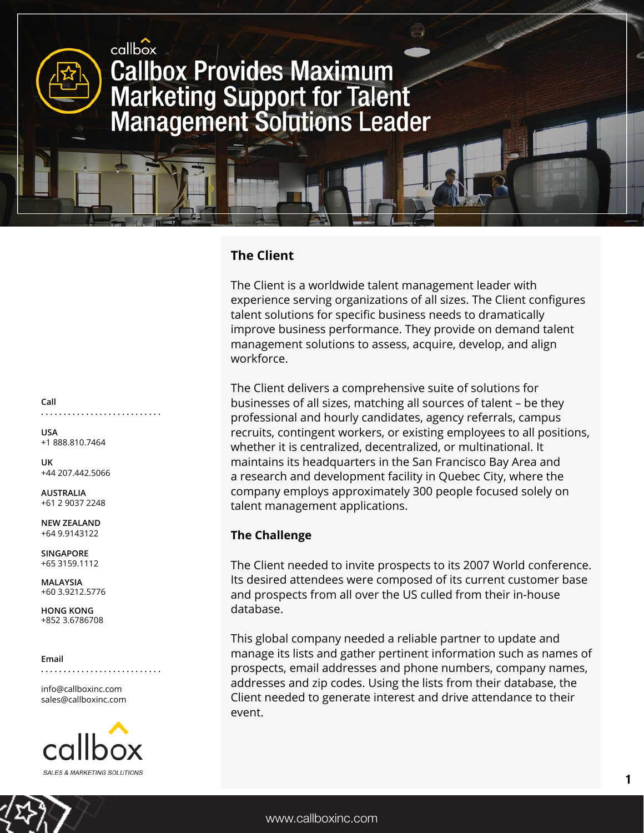

## **The Client**

The Client is a worldwide talent management leader with experience serving organizations of all sizes. The Client configures talent solutions for specific business needs to dramatically improve business performance. They provide on demand talent management solutions to assess, acquire, develop, and align workforce.

The Client delivers a comprehensive suite of solutions for businesses of all sizes, matching all sources of talent – be they professional and hourly candidates, agency referrals, campus recruits, contingent workers, or existing employees to all positions, whether it is centralized, decentralized, or multinational. It maintains its headquarters in the San Francisco Bay Area and a research and development facility in Quebec City, where the company employs approximately 300 people focused solely on talent management applications.

## **The Challenge**

The Client needed to invite prospects to its 2007 World conference. Its desired attendees were composed of its current customer base and prospects from all over the US culled from their in-house database.

This global company needed a reliable partner to update and manage its lists and gather pertinent information such as names of prospects, email addresses and phone numbers, company names, addresses and zip codes. Using the lists from their database, the Client needed to generate interest and drive attendance to their event.

**Call**

**. . . . . . . . . . . . . . . . . . . . . . . . . . .**

**USA** +1 888.810.7464

**UK** +44 207.442.5066

**AUSTRALIA** +61 2 9037 2248

**NEW ZEALAND** +64 9.9143122

**SINGAPORE** +65 3159.1112

**MALAYSIA** +60 3.9212.5776

**HONG KONG** +852 3.6786708

**Email**

**. . . . . . . . . . . . . . . . . . . . . . . . . . .**

info@callboxinc.com sales@callboxinc.com

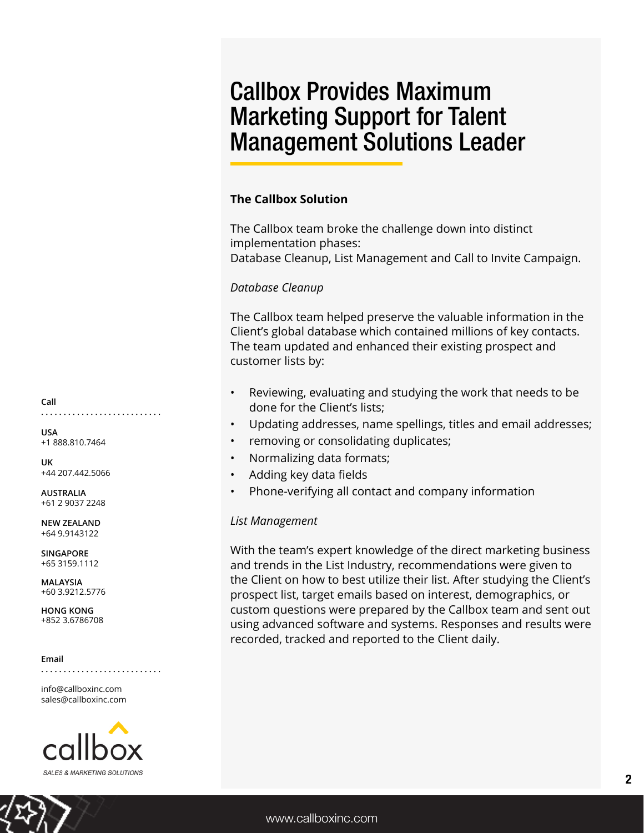# Callbox Provides Maximum Marketing Support for Talent Management Solutions Leader

## **The Callbox Solution**

The Callbox team broke the challenge down into distinct implementation phases: Database Cleanup, List Management and Call to Invite Campaign.

## *Database Cleanup*

The Callbox team helped preserve the valuable information in the Client's global database which contained millions of key contacts. The team updated and enhanced their existing prospect and customer lists by:

- Reviewing, evaluating and studying the work that needs to be done for the Client's lists;
- Updating addresses, name spellings, titles and email addresses;
- removing or consolidating duplicates;
- Normalizing data formats;
- Adding key data fields
- Phone-verifying all contact and company information

### *List Management*

With the team's expert knowledge of the direct marketing business and trends in the List Industry, recommendations were given to the Client on how to best utilize their list. After studying the Client's prospect list, target emails based on interest, demographics, or custom questions were prepared by the Callbox team and sent out using advanced software and systems. Responses and results were recorded, tracked and reported to the Client daily.

**Call . . . . . . . . . . . . . . . . . . . . . . . . . . .**

**USA** +1 888.810.7464

**UK** +44 207.442.5066

**AUSTRALIA** +61 2 9037 2248

**NEW ZEALAND** +64 9.9143122

**SINGAPORE** +65 3159.1112

**MALAYSIA** +60 3.9212.5776

**HONG KONG** +852 3.6786708

### **Email**

**. . . . . . . . . . . . . . . . . . . . . . . . . . .**

info@callboxinc.com sales@callboxinc.com